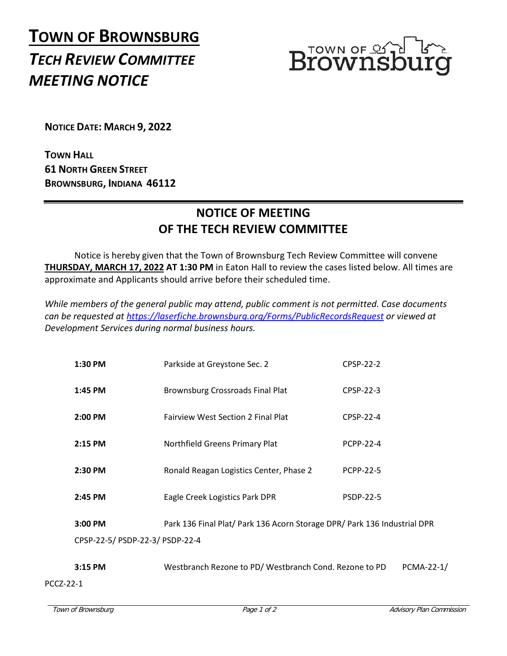## **TOWN OF BROWNSBURG** *TECH REVIEW COMMITTEE MEETING NOTICE*



**NOTICE DATE: MARCH 9, 2022**

**TOWN HALL 61 NORTH GREEN STREET BROWNSBURG, INDIANA 46112**

## **NOTICE OF MEETING OF THE TECH REVIEW COMMITTEE**

Notice is hereby given that the Town of Brownsburg Tech Review Committee will convene **THURSDAY, MARCH 17, 2022 AT 1:30 PM** in Eaton Hall to review the cases listed below. All times are approximate and Applicants should arrive before their scheduled time.

*While members of the general public may attend, public comment is not permitted. Case documents can be requested at<https://laserfiche.brownsburg.org/Forms/PublicRecordsRequest> or viewed at Development Services during normal business hours.*

| 1:30 PM                         | Parkside at Greystone Sec. 2                                             | CPSP-22-2        |
|---------------------------------|--------------------------------------------------------------------------|------------------|
| 1:45 PM                         | Brownsburg Crossroads Final Plat                                         | CPSP-22-3        |
| 2:00 PM                         | <b>Fairview West Section 2 Final Plat</b>                                | CPSP-22-4        |
| 2:15 PM                         | Northfield Greens Primary Plat                                           | <b>PCPP-22-4</b> |
| $2:30$ PM                       | Ronald Reagan Logistics Center, Phase 2                                  | <b>PCPP-22-5</b> |
| 2:45 PM                         | Eagle Creek Logistics Park DPR                                           | <b>PSDP-22-5</b> |
| 3:00 PM                         | Park 136 Final Plat/ Park 136 Acorn Storage DPR/ Park 136 Industrial DPR |                  |
| CPSP-22-5/ PSDP-22-3/ PSDP-22-4 |                                                                          |                  |
| $3:15$ PM                       | Westbranch Rezone to PD/Westbranch Cond. Rezone to PD                    | PCMA-22-1/       |

PCCZ-22-1